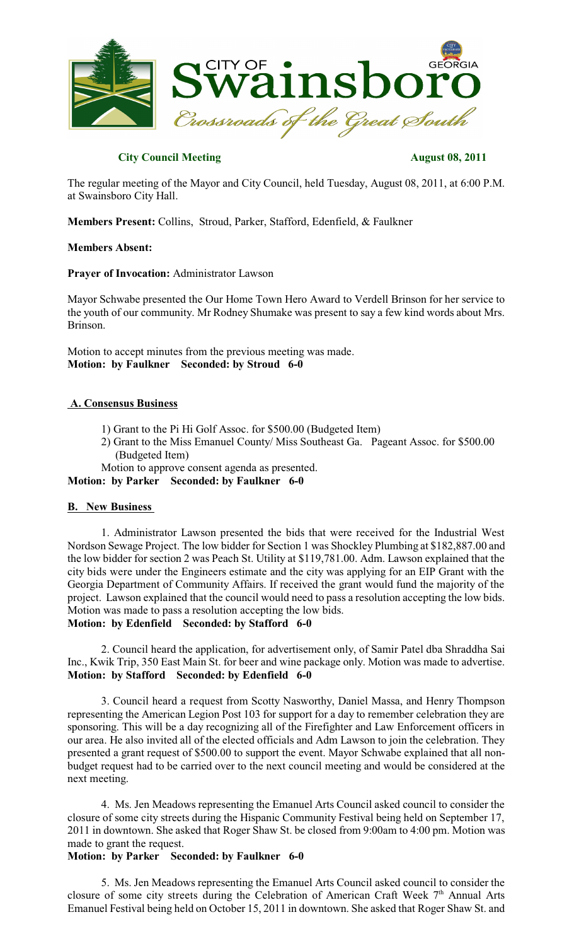

## **City Council Meeting August 08, 2011**

The regular meeting of the Mayor and City Council, held Tuesday, August 08, 2011, at 6:00 P.M. at Swainsboro City Hall.

**Members Present:** Collins, Stroud, Parker, Stafford, Edenfield, & Faulkner

## **Members Absent:**

**Prayer of Invocation:** Administrator Lawson

Mayor Schwabe presented the Our Home Town Hero Award to Verdell Brinson for her service to the youth of our community. Mr Rodney Shumake was present to say a few kind words about Mrs. Brinson.

Motion to accept minutes from the previous meeting was made. **Motion: by Faulkner Seconded: by Stroud 6-0**

## **A. Consensus Business**

- 1) Grant to the Pi Hi Golf Assoc. for \$500.00 (Budgeted Item)
- 2) Grant to the Miss Emanuel County/ Miss Southeast Ga. Pageant Assoc. for \$500.00 (Budgeted Item)

Motion to approve consent agenda as presented.

**Motion: by Parker Seconded: by Faulkner 6-0**

## **B. New Business**

1. Administrator Lawson presented the bids that were received for the Industrial West Nordson Sewage Project. The low bidder for Section 1 was Shockley Plumbing at \$182,887.00 and the low bidder for section 2 was Peach St. Utility at \$119,781.00. Adm. Lawson explained that the city bids were under the Engineers estimate and the city was applying for an EIP Grant with the Georgia Department of Community Affairs. If received the grant would fund the majority of the project. Lawson explained that the council would need to pass a resolution accepting the low bids. Motion was made to pass a resolution accepting the low bids.

# **Motion: by Edenfield Seconded: by Stafford 6-0**

2. Council heard the application, for advertisement only, of Samir Patel dba Shraddha Sai Inc., Kwik Trip, 350 East Main St. for beer and wine package only. Motion was made to advertise. **Motion: by Stafford Seconded: by Edenfield 6-0**

3. Council heard a request from Scotty Nasworthy, Daniel Massa, and Henry Thompson representing the American Legion Post 103 for support for a day to remember celebration they are sponsoring. This will be a day recognizing all of the Firefighter and Law Enforcement officers in our area. He also invited all of the elected officials and Adm Lawson to join the celebration. They presented a grant request of \$500.00 to support the event. Mayor Schwabe explained that all nonbudget request had to be carried over to the next council meeting and would be considered at the next meeting.

4. Ms. Jen Meadows representing the Emanuel Arts Council asked council to consider the closure of some city streets during the Hispanic Community Festival being held on September 17, 2011 in downtown. She asked that Roger Shaw St. be closed from 9:00am to 4:00 pm. Motion was made to grant the request.

## **Motion: by Parker Seconded: by Faulkner 6-0**

5. Ms. Jen Meadows representing the Emanuel Arts Council asked council to consider the closure of some city streets during the Celebration of American Craft Week  $7<sup>th</sup>$  Annual Arts Emanuel Festival being held on October 15, 2011 in downtown. She asked that Roger Shaw St. and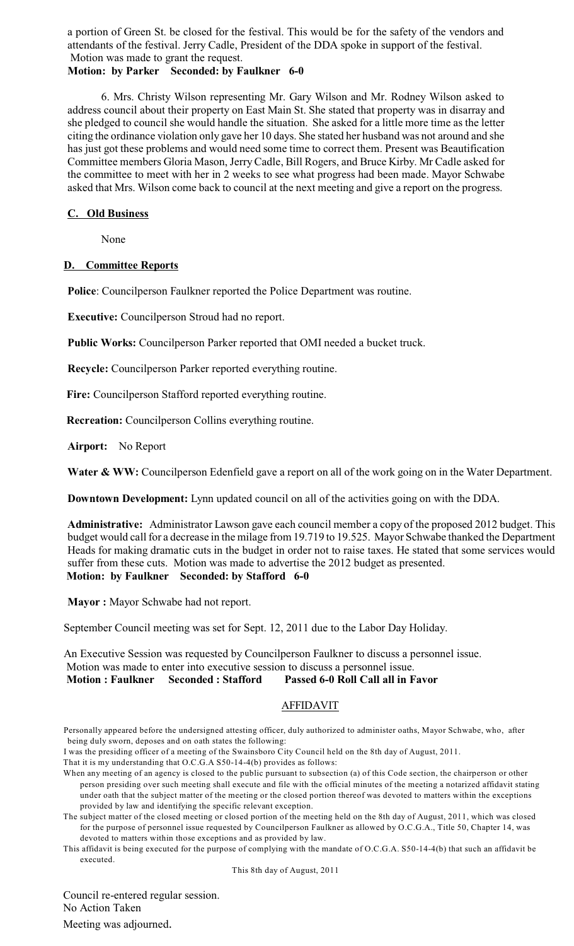a portion of Green St. be closed for the festival. This would be for the safety of the vendors and attendants of the festival. Jerry Cadle, President of the DDA spoke in support of the festival. Motion was made to grant the request.

# **Motion: by Parker Seconded: by Faulkner 6-0**

6. Mrs. Christy Wilson representing Mr. Gary Wilson and Mr. Rodney Wilson asked to address council about their property on East Main St. She stated that property was in disarray and she pledged to council she would handle the situation. She asked for a little more time as the letter citing the ordinance violation only gave her 10 days. She stated her husband was not around and she has just got these problems and would need some time to correct them. Present was Beautification Committee members Gloria Mason, JerryCadle, Bill Rogers, and Bruce Kirby. Mr Cadle asked for the committee to meet with her in 2 weeks to see what progress had been made. Mayor Schwabe asked that Mrs. Wilson come back to council at the next meeting and give a report on the progress.

# **C. Old Business**

None

# **D. Committee Reports**

**Police**: Councilperson Faulkner reported the Police Department was routine.

**Executive:** Councilperson Stroud had no report.

**Public Works:** Councilperson Parker reported that OMI needed a bucket truck.

**Recycle:** Councilperson Parker reported everything routine.

 **Fire:** Councilperson Stafford reported everything routine.

 **Recreation:** Councilperson Collins everything routine.

**Airport:** No Report

Water & WW: Councilperson Edenfield gave a report on all of the work going on in the Water Department.

**Downtown Development:** Lynn updated council on all of the activities going on with the DDA.

**Administrative:** Administrator Lawson gave each council member a copy of the proposed 2012 budget. This budget would call for a decrease in the milage from 19.719 to 19.525. Mayor Schwabe thanked the Department Heads for making dramatic cuts in the budget in order not to raise taxes. He stated that some services would suffer from these cuts. Motion was made to advertise the 2012 budget as presented. **Motion: by Faulkner Seconded: by Stafford 6-0**

**Mayor :** Mayor Schwabe had not report.

September Council meeting was set for Sept. 12, 2011 due to the Labor Day Holiday.

An Executive Session was requested by Councilperson Faulkner to discuss a personnel issue. Motion was made to enter into executive session to discuss a personnel issue. **Motion : Faulkner Seconded : Stafford Passed 6-0 Roll Call all in Favor**

# AFFIDAVIT

I was the presiding officer of a meeting of the Swainsboro City Council held on the 8th day of August, 2011.

That it is my understanding that O.C.G.A S50-14-4(b) provides as follows:

This affidavit is being executed for the purpose of complying with the mandate of O.C.G.A. S50-14-4(b) that such an affidavit be executed.

This 8th day of August, 2011

Council re-entered regular session. No Action Taken Meeting was adjourned.

Personally appeared before the undersigned attesting officer, duly authorized to administer oaths, Mayor Schwabe, who, after being duly sworn, deposes and on oath states the following:

When any meeting of an agency is closed to the public pursuant to subsection (a) of this Code section, the chairperson or other person presiding over such meeting shall execute and file with the official minutes of the meeting a notarized affidavit stating under oath that the subject matter of the meeting or the closed portion thereof was devoted to matters within the exceptions provided by law and identifying the specific relevant exception.

The subject matter of the closed meeting or closed portion of the meeting held on the 8th day of August, 2011, which was closed for the purpose of personnel issue requested by Councilperson Faulkner as allowed by O.C.G.A., Title 50, Chapter 14, was devoted to matters within those exceptions and as provided by law.